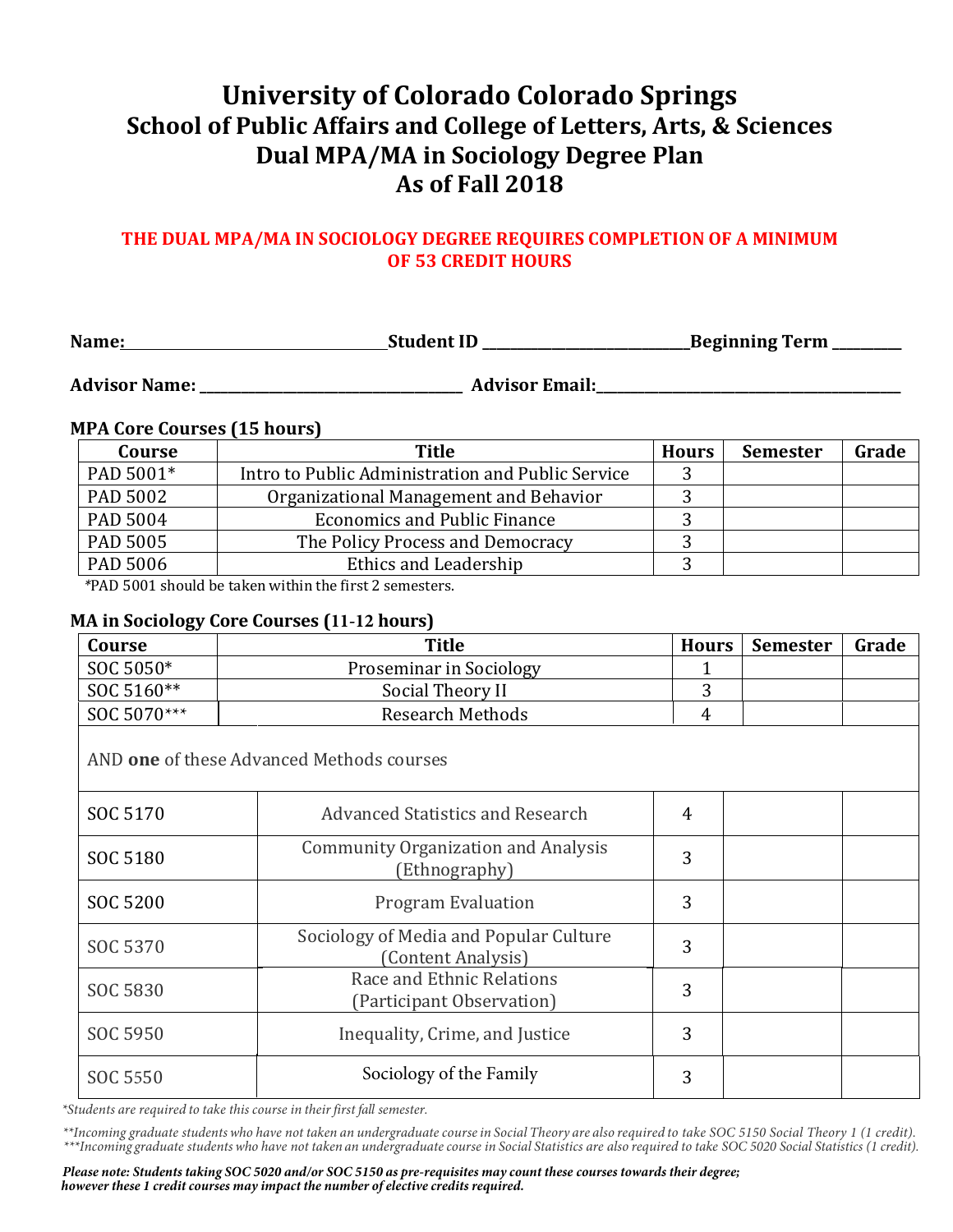# **University of Colorado Colorado Springs School of Public Affairs and College of Letters, Arts, & Sciences Dual MPA/MA in Sociology Degree Plan As of Fall 2018**

## THE DUAL MPA/MA IN SOCIOLOGY DEGREE REQUIRES COMPLETION OF A MINIMUM **OF 53 CREDIT HOURS**

| Name: | Student ID | Beginning Term |
|-------|------------|----------------|
|-------|------------|----------------|

Advisor Name: which is a set of a set of a set of a set of a set of a set of a set of a set of a set of a set o

### **MPA Core Courses (15 hours)**

| Title                                             | <b>Hours</b> | <b>Semester</b> | Grade |
|---------------------------------------------------|--------------|-----------------|-------|
| Intro to Public Administration and Public Service |              |                 |       |
| Organizational Management and Behavior            |              |                 |       |
| <b>Economics and Public Finance</b>               |              |                 |       |
| The Policy Process and Democracy                  |              |                 |       |
| Ethics and Leadership                             |              |                 |       |
|                                                   |              |                 |       |

*\**PAD 5001 should be taken within the first 2 semesters.

#### **MA in Sociology Core Courses (11-12 hours)**

| Course      | <b>Title</b>            |   | Hours   Semester | Grade |
|-------------|-------------------------|---|------------------|-------|
| SOC 5050*   | Proseminar in Sociology |   |                  |       |
| SOC 5160**  | Social Theory II        |   |                  |       |
| SOC 5070*** | <b>Research Methods</b> | 4 |                  |       |
|             |                         |   |                  |       |

AND **one** of these Advanced Methods courses

| SOC 5170 | Advanced Statistics and Research                             | 4 |  |
|----------|--------------------------------------------------------------|---|--|
| SOC 5180 | <b>Community Organization and Analysis</b><br>(Ethnography)  | 3 |  |
| SOC 5200 | <b>Program Evaluation</b>                                    | 3 |  |
| SOC 5370 | Sociology of Media and Popular Culture<br>(Content Analysis) | 3 |  |
| SOC 5830 | Race and Ethnic Relations<br>(Participant Observation)       | 3 |  |
| SOC 5950 | Inequality, Crime, and Justice                               | 3 |  |
| SOC 5550 | Sociology of the Family                                      |   |  |

*\*Students are required to take this course in their first fall semester.*

\*\*Incoming graduate students who have not taken an undergraduate course in Social Theory are also required to take SOC 5150 Social Theory 1 (1 credit). \*\*\*Incoming graduate students who have not taken an undergraduate course in Social Statistics are also required to take SOC 5020 Social Statistics (1 credit).

*Please note: Students taking SOC 5020 and/or SOC 5150 as pre-requisites may count these courses towards their degree; however these 1 credit courses may impact the number of elective credits required.*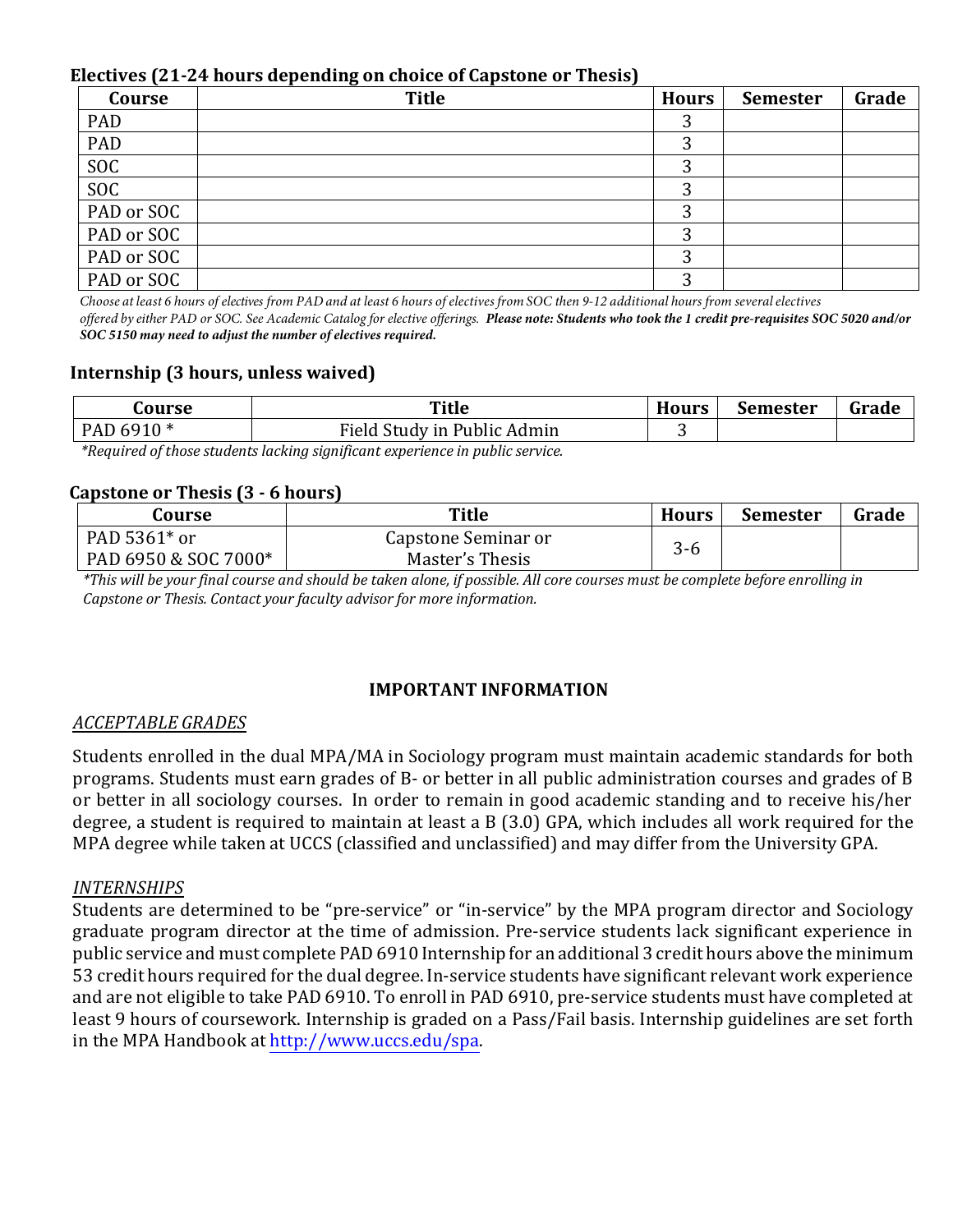#### Electives (21-24 hours depending on choice of Capstone or Thesis)

| Course     | <b>Title</b> | <b>Hours</b> | <b>Semester</b> | Grade |
|------------|--------------|--------------|-----------------|-------|
| PAD        |              |              |                 |       |
| PAD        |              | ◠            |                 |       |
| <b>SOC</b> |              |              |                 |       |
| <b>SOC</b> |              |              |                 |       |
| PAD or SOC |              |              |                 |       |
| PAD or SOC |              |              |                 |       |
| PAD or SOC |              | ◠            |                 |       |
| PAD or SOC |              |              |                 |       |

Choose at least 6 hours of electives from PAD and at least 6 hours of electives from SOC then 9-12 additional hours from several electives *offered by either PAD or SOC. See Academic Catalog for elective offerings. Please note: Students who took the 1 credit pre-requisites SOC 5020 and/or SOC 5150 may need to adjust the number of electives required.*

## **Internship (3 hours, unless waived)**

| ourse                                                                    | Title                       | <b>Hours</b> | <b>Semester</b> | Grade |
|--------------------------------------------------------------------------|-----------------------------|--------------|-----------------|-------|
| PAD 6910 *                                                               | Field Study in Public Admin |              |                 |       |
| $\star$ . If it is interested to the contract of the contract of $\star$ |                             |              |                 |       |

*\*Required of those students lacking significant experience in public service.*

## **Capstone or Thesis (3 - 6 hours)**

| Course               | Title               | <b>Hours</b> | <b>Semester</b> | Grade |
|----------------------|---------------------|--------------|-----------------|-------|
| PAD 5361 $*$ or      | Capstone Seminar or |              |                 |       |
| PAD 6950 & SOC 7000* | Master's Thesis     | კ-ხ          |                 |       |

*\*This will be your final course and should be taken alone, if possible. All core courses must be complete before enrolling in* Capstone or Thesis. Contact your faculty advisor for more information.

## **IMPORTANT INFORMATION**

#### *ACCEPTABLE GRADES*

Students enrolled in the dual MPA/MA in Sociology program must maintain academic standards for both programs. Students must earn grades of B- or better in all public administration courses and grades of B or better in all sociology courses. In order to remain in good academic standing and to receive his/her degree, a student is required to maintain at least a  $B(3.0)$  GPA, which includes all work required for the MPA degree while taken at UCCS (classified and unclassified) and may differ from the University GPA.

#### *INTERNSHIPS*

Students are determined to be "pre-service" or "in-service" by the MPA program director and Sociology graduate program director at the time of admission. Pre-service students lack significant experience in public service and must complete PAD 6910 Internship for an additional 3 credit hours above the minimum 53 credit hours required for the dual degree. In-service students have significant relevant work experience and are not eligible to take PAD 6910. To enroll in PAD 6910, pre-service students must have completed at least 9 hours of coursework. Internship is graded on a Pass/Fail basis. Internship guidelines are set forth in the MPA Handbook at http://www.uccs.edu/spa.